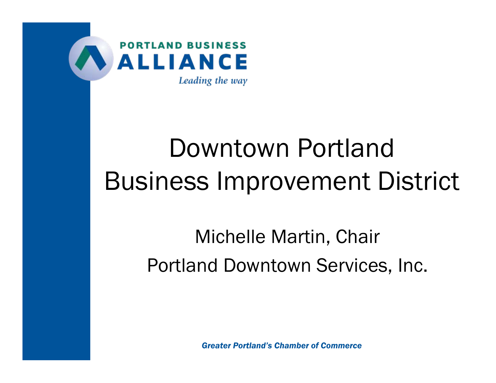

# Downtown PortlandBusiness Improvement District

## Michelle Martin, Chair Portland Downtown Services, Inc.

*Greater Portland's Chamber of Commerce*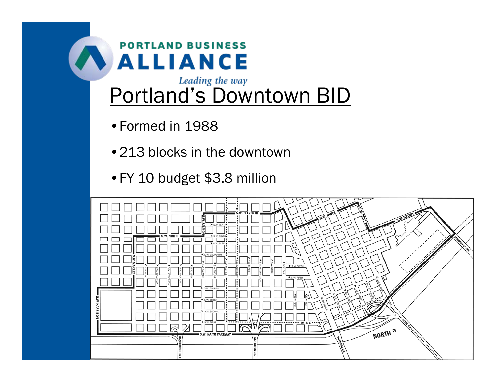

#### Leading the way Portland's Downtown BID

- •Formed in 1988
- •213 blocks in the downtown
- •FY 10 budget \$3.8 million

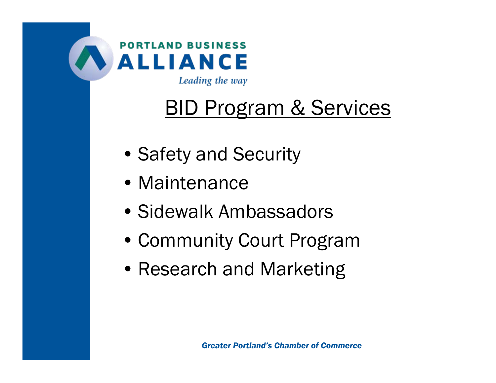

Leading the way

## BID Program & Services

- Safety and Security
- Maintenance
- Sidewalk Ambassadors
- Community Court Program
- Research and Marketing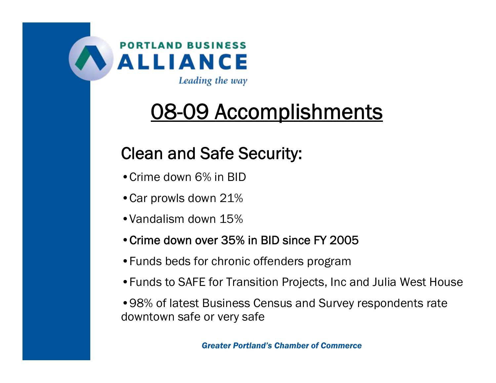

## 08-09 Accomplishments

#### Clean and Safe Security:

- Crime down 6% in BID
- •Car prowls down 21%
- •Vandalism down 15%
- •Crime down over 35% in BID since FY 2005
- •Funds beds for chronic offenders program
- •Funds to SAFE for Transition Projects, Inc and Julia West House

•98% of latest Business Census and Survey respondents rate downtown safe or very safe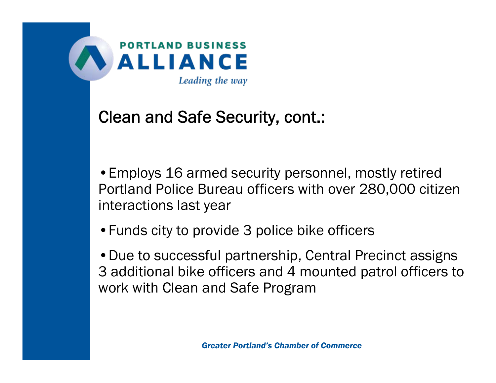

#### Clean and Safe Security, cont.:

•Employs 16 armed security personnel, mostly retired Portland Police Bureau officers with over 280,000 citizen interactions last year

•Funds city to provide 3 police bike officers

•Due to successful partnership, Central Precinct assigns 3 additional bike officers and 4 mounted patrol officers to work with Clean and Safe Program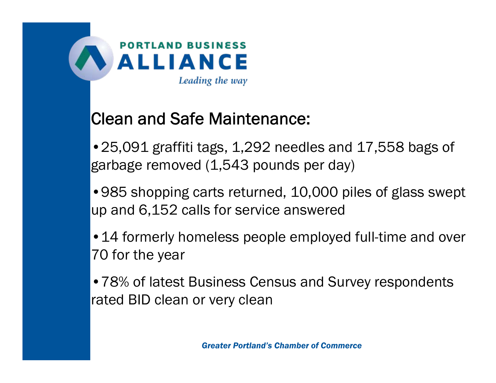

#### Clean and Safe Maintenance:

•25,091 graffiti tags, 1,292 needles and 17,558 bags of garbage removed (1,543 pounds per day)

•985 shopping carts returned, 10,000 piles of glass swept up and 6,152 calls for service answered

•14 formerly homeless people employed full-time and over 70 for the year

•78% of latest Business Census and Survey respondents rated BID clean or very clean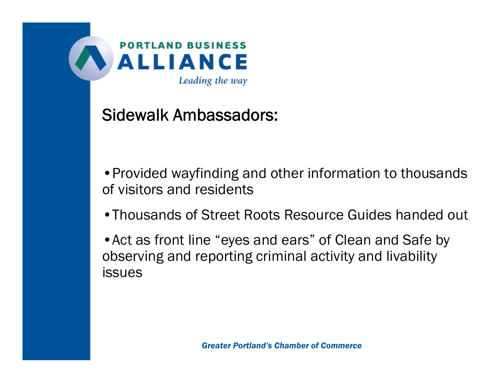

#### Sidewalk Ambassadors:

•Provided wayfinding and other information to thousands of visitors and residents

•Thousands of Street Roots Resource Guides handed out

•Act as front line "eyes and ears" of Clean and Safe by observing and reporting criminal activity and livability issues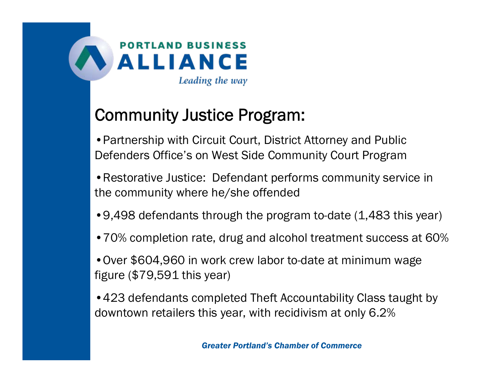

#### Community Justice Program:

•Partnership with Circuit Court, District Attorney and Public Defenders Office's on West Side Community Court Program

- •Restorative Justice: Defendant performs community service in the community where he/she offended
- •9,498 defendants through the program to-date (1,483 this year)
- •70% completion rate, drug and alcohol treatment success at 60%
- •Over \$604,960 in work crew labor to-date at minimum wage figure (\$79,591 this year)
- •423 defendants completed Theft Accountability Class taught by downtown retailers this year, with recidivism at only 6.2%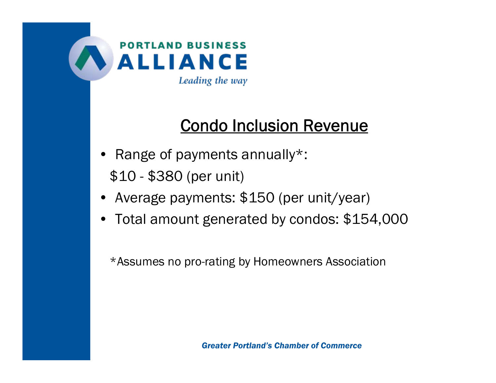

#### Condo Inclusion Revenue

- Range of payments annually\*: \$10 - \$380 (per unit)
- Average payments: \$150 (per unit/year)
- Total amount generated by condos: \$154,000

\*Assumes no pro-rating by Homeowners Association